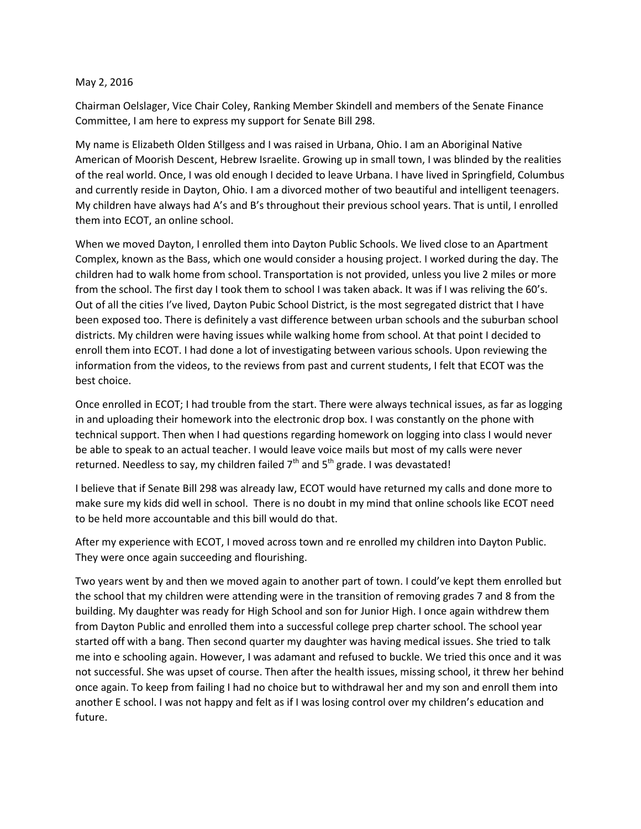## May 2, 2016

Chairman Oelslager, Vice Chair Coley, Ranking Member Skindell and members of the Senate Finance Committee, I am here to express my support for Senate Bill 298.

My name is Elizabeth Olden Stillgess and I was raised in Urbana, Ohio. I am an Aboriginal Native American of Moorish Descent, Hebrew Israelite. Growing up in small town, I was blinded by the realities of the real world. Once, I was old enough I decided to leave Urbana. I have lived in Springfield, Columbus and currently reside in Dayton, Ohio. I am a divorced mother of two beautiful and intelligent teenagers. My children have always had A's and B's throughout their previous school years. That is until, I enrolled them into ECOT, an online school.

When we moved Dayton, I enrolled them into Dayton Public Schools. We lived close to an Apartment Complex, known as the Bass, which one would consider a housing project. I worked during the day. The children had to walk home from school. Transportation is not provided, unless you live 2 miles or more from the school. The first day I took them to school I was taken aback. It was if I was reliving the 60's. Out of all the cities I've lived, Dayton Pubic School District, is the most segregated district that I have been exposed too. There is definitely a vast difference between urban schools and the suburban school districts. My children were having issues while walking home from school. At that point I decided to enroll them into ECOT. I had done a lot of investigating between various schools. Upon reviewing the information from the videos, to the reviews from past and current students, I felt that ECOT was the best choice.

Once enrolled in ECOT; I had trouble from the start. There were always technical issues, as far as logging in and uploading their homework into the electronic drop box. I was constantly on the phone with technical support. Then when I had questions regarding homework on logging into class I would never be able to speak to an actual teacher. I would leave voice mails but most of my calls were never returned. Needless to say, my children failed  $7<sup>th</sup>$  and  $5<sup>th</sup>$  grade. I was devastated!

I believe that if Senate Bill 298 was already law, ECOT would have returned my calls and done more to make sure my kids did well in school. There is no doubt in my mind that online schools like ECOT need to be held more accountable and this bill would do that.

After my experience with ECOT, I moved across town and re enrolled my children into Dayton Public. They were once again succeeding and flourishing.

Two years went by and then we moved again to another part of town. I could've kept them enrolled but the school that my children were attending were in the transition of removing grades 7 and 8 from the building. My daughter was ready for High School and son for Junior High. I once again withdrew them from Dayton Public and enrolled them into a successful college prep charter school. The school year started off with a bang. Then second quarter my daughter was having medical issues. She tried to talk me into e schooling again. However, I was adamant and refused to buckle. We tried this once and it was not successful. She was upset of course. Then after the health issues, missing school, it threw her behind once again. To keep from failing I had no choice but to withdrawal her and my son and enroll them into another E school. I was not happy and felt as if I was losing control over my children's education and future.